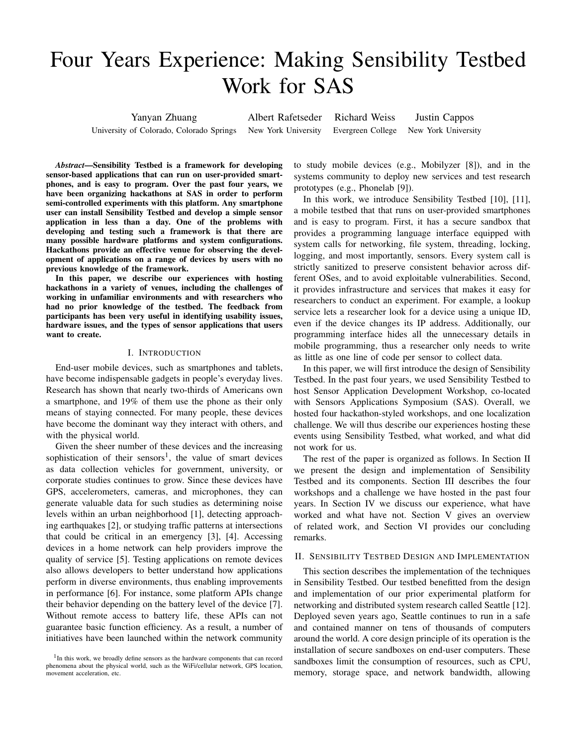# Four Years Experience: Making Sensibility Testbed Work for SAS

Yanyan Zhuang Albert Rafetseder Richard Weiss Justin Cappos University of Colorado, Colorado Springs New York University Evergreen College New York University

*Abstract*—Sensibility Testbed is a framework for developing sensor-based applications that can run on user-provided smartphones, and is easy to program. Over the past four years, we have been organizing hackathons at SAS in order to perform semi-controlled experiments with this platform. Any smartphone user can install Sensibility Testbed and develop a simple sensor application in less than a day. One of the problems with developing and testing such a framework is that there are many possible hardware platforms and system configurations. Hackathons provide an effective venue for observing the development of applications on a range of devices by users with no previous knowledge of the framework.

In this paper, we describe our experiences with hosting hackathons in a variety of venues, including the challenges of working in unfamiliar environments and with researchers who had no prior knowledge of the testbed. The feedback from participants has been very useful in identifying usability issues, hardware issues, and the types of sensor applications that users want to create.

#### I. INTRODUCTION

End-user mobile devices, such as smartphones and tablets, have become indispensable gadgets in people's everyday lives. Research has shown that nearly two-thirds of Americans own a smartphone, and 19% of them use the phone as their only means of staying connected. For many people, these devices have become the dominant way they interact with others, and with the physical world.

Given the sheer number of these devices and the increasing sophistication of their sensors<sup>1</sup>, the value of smart devices as data collection vehicles for government, university, or corporate studies continues to grow. Since these devices have GPS, accelerometers, cameras, and microphones, they can generate valuable data for such studies as determining noise levels within an urban neighborhood [1], detecting approaching earthquakes [2], or studying traffic patterns at intersections that could be critical in an emergency [3], [4]. Accessing devices in a home network can help providers improve the quality of service [5]. Testing applications on remote devices also allows developers to better understand how applications perform in diverse environments, thus enabling improvements in performance [6]. For instance, some platform APIs change their behavior depending on the battery level of the device [7]. Without remote access to battery life, these APIs can not guarantee basic function efficiency. As a result, a number of initiatives have been launched within the network community

to study mobile devices (e.g., Mobilyzer [8]), and in the systems community to deploy new services and test research prototypes (e.g., Phonelab [9]).

In this work, we introduce Sensibility Testbed [10], [11], a mobile testbed that that runs on user-provided smartphones and is easy to program. First, it has a secure sandbox that provides a programming language interface equipped with system calls for networking, file system, threading, locking, logging, and most importantly, sensors. Every system call is strictly sanitized to preserve consistent behavior across different OSes, and to avoid exploitable vulnerabilities. Second, it provides infrastructure and services that makes it easy for researchers to conduct an experiment. For example, a lookup service lets a researcher look for a device using a unique ID, even if the device changes its IP address. Additionally, our programming interface hides all the unnecessary details in mobile programming, thus a researcher only needs to write as little as one line of code per sensor to collect data.

In this paper, we will first introduce the design of Sensibility Testbed. In the past four years, we used Sensibility Testbed to host Sensor Application Development Workshop, co-located with Sensors Applications Symposium (SAS). Overall, we hosted four hackathon-styled workshops, and one localization challenge. We will thus describe our experiences hosting these events using Sensibility Testbed, what worked, and what did not work for us.

The rest of the paper is organized as follows. In Section II we present the design and implementation of Sensibility Testbed and its components. Section III describes the four workshops and a challenge we have hosted in the past four years. In Section IV we discuss our experience, what have worked and what have not. Section V gives an overview of related work, and Section VI provides our concluding remarks.

#### II. SENSIBILITY TESTBED DESIGN AND IMPLEMENTATION

This section describes the implementation of the techniques in Sensibility Testbed. Our testbed benefitted from the design and implementation of our prior experimental platform for networking and distributed system research called Seattle [12]. Deployed seven years ago, Seattle continues to run in a safe and contained manner on tens of thousands of computers around the world. A core design principle of its operation is the installation of secure sandboxes on end-user computers. These sandboxes limit the consumption of resources, such as CPU, memory, storage space, and network bandwidth, allowing

<sup>&</sup>lt;sup>1</sup>In this work, we broadly define sensors as the hardware components that can record phenomena about the physical world, such as the WiFi/cellular network, GPS location, movement acceleration, etc.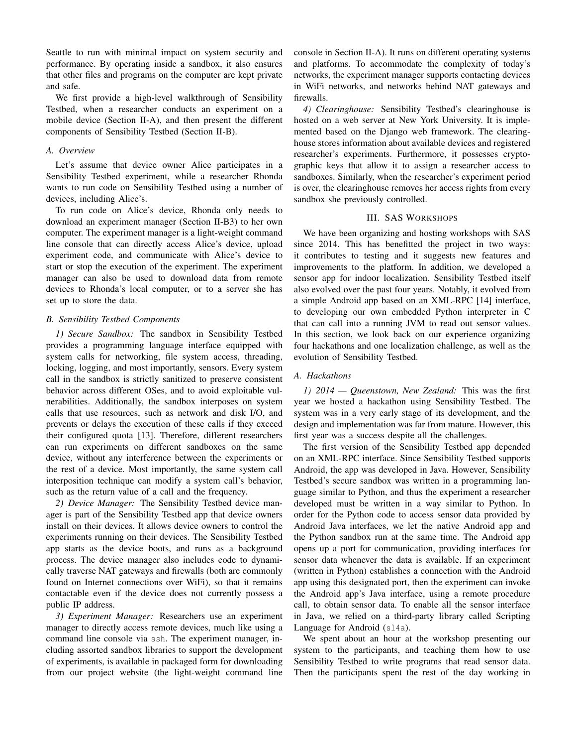Seattle to run with minimal impact on system security and performance. By operating inside a sandbox, it also ensures that other files and programs on the computer are kept private and safe.

We first provide a high-level walkthrough of Sensibility Testbed, when a researcher conducts an experiment on a mobile device (Section II-A), and then present the different components of Sensibility Testbed (Section II-B).

#### *A. Overview*

Let's assume that device owner Alice participates in a Sensibility Testbed experiment, while a researcher Rhonda wants to run code on Sensibility Testbed using a number of devices, including Alice's.

To run code on Alice's device, Rhonda only needs to download an experiment manager (Section II-B3) to her own computer. The experiment manager is a light-weight command line console that can directly access Alice's device, upload experiment code, and communicate with Alice's device to start or stop the execution of the experiment. The experiment manager can also be used to download data from remote devices to Rhonda's local computer, or to a server she has set up to store the data.

#### *B. Sensibility Testbed Components*

*1) Secure Sandbox:* The sandbox in Sensibility Testbed provides a programming language interface equipped with system calls for networking, file system access, threading, locking, logging, and most importantly, sensors. Every system call in the sandbox is strictly sanitized to preserve consistent behavior across different OSes, and to avoid exploitable vulnerabilities. Additionally, the sandbox interposes on system calls that use resources, such as network and disk I/O, and prevents or delays the execution of these calls if they exceed their configured quota [13]. Therefore, different researchers can run experiments on different sandboxes on the same device, without any interference between the experiments or the rest of a device. Most importantly, the same system call interposition technique can modify a system call's behavior, such as the return value of a call and the frequency.

*2) Device Manager:* The Sensibility Testbed device manager is part of the Sensibility Testbed app that device owners install on their devices. It allows device owners to control the experiments running on their devices. The Sensibility Testbed app starts as the device boots, and runs as a background process. The device manager also includes code to dynamically traverse NAT gateways and firewalls (both are commonly found on Internet connections over WiFi), so that it remains contactable even if the device does not currently possess a public IP address.

*3) Experiment Manager:* Researchers use an experiment manager to directly access remote devices, much like using a command line console via ssh. The experiment manager, including assorted sandbox libraries to support the development of experiments, is available in packaged form for downloading from our project website (the light-weight command line console in Section II-A). It runs on different operating systems and platforms. To accommodate the complexity of today's networks, the experiment manager supports contacting devices in WiFi networks, and networks behind NAT gateways and firewalls.

*4) Clearinghouse:* Sensibility Testbed's clearinghouse is hosted on a web server at New York University. It is implemented based on the Django web framework. The clearinghouse stores information about available devices and registered researcher's experiments. Furthermore, it possesses cryptographic keys that allow it to assign a researcher access to sandboxes. Similarly, when the researcher's experiment period is over, the clearinghouse removes her access rights from every sandbox she previously controlled.

#### III. SAS WORKSHOPS

We have been organizing and hosting workshops with SAS since 2014. This has benefitted the project in two ways: it contributes to testing and it suggests new features and improvements to the platform. In addition, we developed a sensor app for indoor localization. Sensibility Testbed itself also evolved over the past four years. Notably, it evolved from a simple Android app based on an XML-RPC [14] interface, to developing our own embedded Python interpreter in C that can call into a running JVM to read out sensor values. In this section, we look back on our experience organizing four hackathons and one localization challenge, as well as the evolution of Sensibility Testbed.

## *A. Hackathons*

*1) 2014 — Queenstown, New Zealand:* This was the first year we hosted a hackathon using Sensibility Testbed. The system was in a very early stage of its development, and the design and implementation was far from mature. However, this first year was a success despite all the challenges.

The first version of the Sensibility Testbed app depended on an XML-RPC interface. Since Sensibility Testbed supports Android, the app was developed in Java. However, Sensibility Testbed's secure sandbox was written in a programming language similar to Python, and thus the experiment a researcher developed must be written in a way similar to Python. In order for the Python code to access sensor data provided by Android Java interfaces, we let the native Android app and the Python sandbox run at the same time. The Android app opens up a port for communication, providing interfaces for sensor data whenever the data is available. If an experiment (written in Python) establishes a connection with the Android app using this designated port, then the experiment can invoke the Android app's Java interface, using a remote procedure call, to obtain sensor data. To enable all the sensor interface in Java, we relied on a third-party library called Scripting Language for Android (s14a).

We spent about an hour at the workshop presenting our system to the participants, and teaching them how to use Sensibility Testbed to write programs that read sensor data. Then the participants spent the rest of the day working in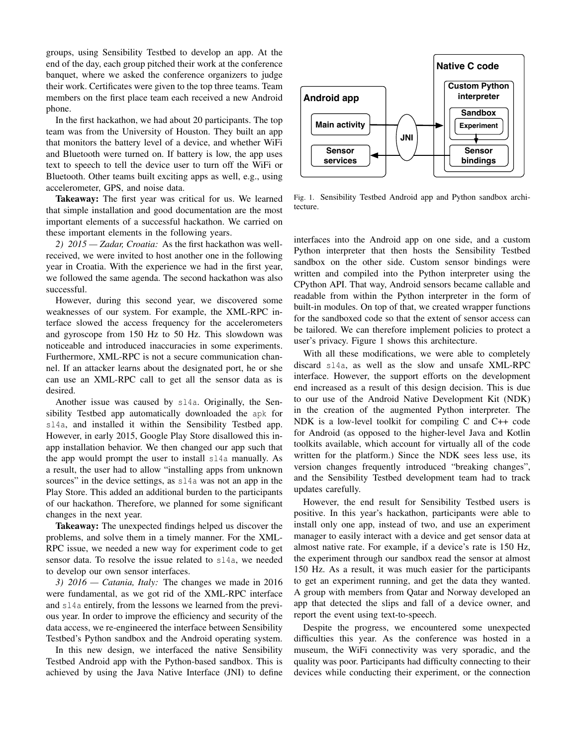groups, using Sensibility Testbed to develop an app. At the end of the day, each group pitched their work at the conference banquet, where we asked the conference organizers to judge their work. Certificates were given to the top three teams. Team members on the first place team each received a new Android phone.

In the first hackathon, we had about 20 participants. The top team was from the University of Houston. They built an app that monitors the battery level of a device, and whether WiFi and Bluetooth were turned on. If battery is low, the app uses text to speech to tell the device user to turn off the WiFi or Bluetooth. Other teams built exciting apps as well, e.g., using accelerometer, GPS, and noise data.

Takeaway: The first year was critical for us. We learned that simple installation and good documentation are the most important elements of a successful hackathon. We carried on these important elements in the following years.

*2) 2015 — Zadar, Croatia:* As the first hackathon was wellreceived, we were invited to host another one in the following year in Croatia. With the experience we had in the first year, we followed the same agenda. The second hackathon was also successful.

However, during this second year, we discovered some weaknesses of our system. For example, the XML-RPC interface slowed the access frequency for the accelerometers and gyroscope from 150 Hz to 50 Hz. This slowdown was noticeable and introduced inaccuracies in some experiments. Furthermore, XML-RPC is not a secure communication channel. If an attacker learns about the designated port, he or she can use an XML-RPC call to get all the sensor data as is desired.

Another issue was caused by sl4a. Originally, the Sensibility Testbed app automatically downloaded the apk for sl4a, and installed it within the Sensibility Testbed app. However, in early 2015, Google Play Store disallowed this inapp installation behavior. We then changed our app such that the app would prompt the user to install sl4a manually. As a result, the user had to allow "installing apps from unknown sources" in the device settings, as sl4a was not an app in the Play Store. This added an additional burden to the participants of our hackathon. Therefore, we planned for some significant changes in the next year.

Takeaway: The unexpected findings helped us discover the problems, and solve them in a timely manner. For the XML-RPC issue, we needed a new way for experiment code to get sensor data. To resolve the issue related to s14a, we needed to develop our own sensor interfaces.

*3) 2016 — Catania, Italy:* The changes we made in 2016 were fundamental, as we got rid of the XML-RPC interface and sl4a entirely, from the lessons we learned from the previous year. In order to improve the efficiency and security of the data access, we re-engineered the interface between Sensibility Testbed's Python sandbox and the Android operating system.

In this new design, we interfaced the native Sensibility Testbed Android app with the Python-based sandbox. This is achieved by using the Java Native Interface (JNI) to define



Fig. 1. Sensibility Testbed Android app and Python sandbox architecture.

interfaces into the Android app on one side, and a custom Python interpreter that then hosts the Sensibility Testbed sandbox on the other side. Custom sensor bindings were written and compiled into the Python interpreter using the CPython API. That way, Android sensors became callable and readable from within the Python interpreter in the form of built-in modules. On top of that, we created wrapper functions for the sandboxed code so that the extent of sensor access can be tailored. We can therefore implement policies to protect a user's privacy. Figure 1 shows this architecture.

With all these modifications, we were able to completely discard sl4a, as well as the slow and unsafe XML-RPC interface. However, the support efforts on the development end increased as a result of this design decision. This is due to our use of the Android Native Development Kit (NDK) in the creation of the augmented Python interpreter. The NDK is a low-level toolkit for compiling C and C++ code for Android (as opposed to the higher-level Java and Kotlin toolkits available, which account for virtually all of the code written for the platform.) Since the NDK sees less use, its version changes frequently introduced "breaking changes", and the Sensibility Testbed development team had to track updates carefully.

However, the end result for Sensibility Testbed users is positive. In this year's hackathon, participants were able to install only one app, instead of two, and use an experiment manager to easily interact with a device and get sensor data at almost native rate. For example, if a device's rate is 150 Hz, the experiment through our sandbox read the sensor at almost 150 Hz. As a result, it was much easier for the participants to get an experiment running, and get the data they wanted. A group with members from Qatar and Norway developed an app that detected the slips and fall of a device owner, and report the event using text-to-speech.

Despite the progress, we encountered some unexpected difficulties this year. As the conference was hosted in a museum, the WiFi connectivity was very sporadic, and the quality was poor. Participants had difficulty connecting to their devices while conducting their experiment, or the connection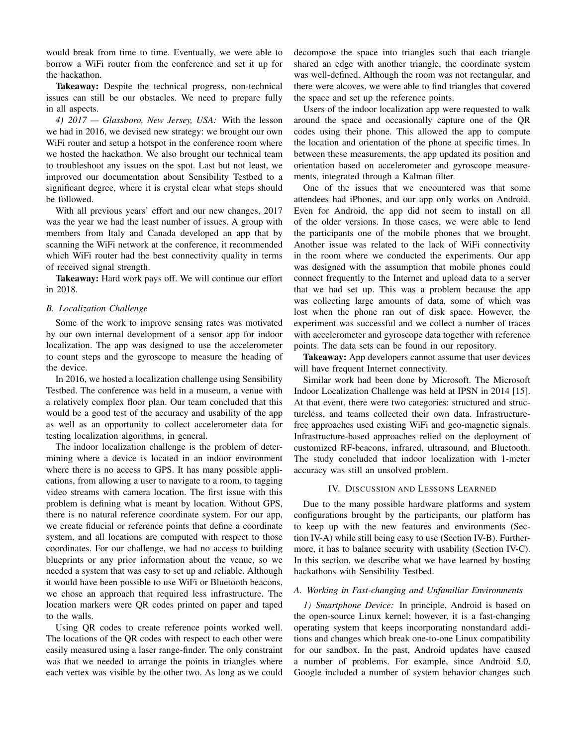would break from time to time. Eventually, we were able to borrow a WiFi router from the conference and set it up for the hackathon.

Takeaway: Despite the technical progress, non-technical issues can still be our obstacles. We need to prepare fully in all aspects.

*4) 2017 — Glassboro, New Jersey, USA:* With the lesson we had in 2016, we devised new strategy: we brought our own WiFi router and setup a hotspot in the conference room where we hosted the hackathon. We also brought our technical team to troubleshoot any issues on the spot. Last but not least, we improved our documentation about Sensibility Testbed to a significant degree, where it is crystal clear what steps should be followed.

With all previous years' effort and our new changes, 2017 was the year we had the least number of issues. A group with members from Italy and Canada developed an app that by scanning the WiFi network at the conference, it recommended which WiFi router had the best connectivity quality in terms of received signal strength.

Takeaway: Hard work pays off. We will continue our effort in 2018.

#### *B. Localization Challenge*

Some of the work to improve sensing rates was motivated by our own internal development of a sensor app for indoor localization. The app was designed to use the accelerometer to count steps and the gyroscope to measure the heading of the device.

In 2016, we hosted a localization challenge using Sensibility Testbed. The conference was held in a museum, a venue with a relatively complex floor plan. Our team concluded that this would be a good test of the accuracy and usability of the app as well as an opportunity to collect accelerometer data for testing localization algorithms, in general.

The indoor localization challenge is the problem of determining where a device is located in an indoor environment where there is no access to GPS. It has many possible applications, from allowing a user to navigate to a room, to tagging video streams with camera location. The first issue with this problem is defining what is meant by location. Without GPS, there is no natural reference coordinate system. For our app, we create fiducial or reference points that define a coordinate system, and all locations are computed with respect to those coordinates. For our challenge, we had no access to building blueprints or any prior information about the venue, so we needed a system that was easy to set up and reliable. Although it would have been possible to use WiFi or Bluetooth beacons, we chose an approach that required less infrastructure. The location markers were QR codes printed on paper and taped to the walls.

Using QR codes to create reference points worked well. The locations of the QR codes with respect to each other were easily measured using a laser range-finder. The only constraint was that we needed to arrange the points in triangles where each vertex was visible by the other two. As long as we could decompose the space into triangles such that each triangle shared an edge with another triangle, the coordinate system was well-defined. Although the room was not rectangular, and there were alcoves, we were able to find triangles that covered the space and set up the reference points.

Users of the indoor localization app were requested to walk around the space and occasionally capture one of the QR codes using their phone. This allowed the app to compute the location and orientation of the phone at specific times. In between these measurements, the app updated its position and orientation based on accelerometer and gyroscope measurements, integrated through a Kalman filter.

One of the issues that we encountered was that some attendees had iPhones, and our app only works on Android. Even for Android, the app did not seem to install on all of the older versions. In those cases, we were able to lend the participants one of the mobile phones that we brought. Another issue was related to the lack of WiFi connectivity in the room where we conducted the experiments. Our app was designed with the assumption that mobile phones could connect frequently to the Internet and upload data to a server that we had set up. This was a problem because the app was collecting large amounts of data, some of which was lost when the phone ran out of disk space. However, the experiment was successful and we collect a number of traces with accelerometer and gyroscope data together with reference points. The data sets can be found in our repository.

Takeaway: App developers cannot assume that user devices will have frequent Internet connectivity.

Similar work had been done by Microsoft. The Microsoft Indoor Localization Challenge was held at IPSN in 2014 [15]. At that event, there were two categories: structured and structureless, and teams collected their own data. Infrastructurefree approaches used existing WiFi and geo-magnetic signals. Infrastructure-based approaches relied on the deployment of customized RF-beacons, infrared, ultrasound, and Bluetooth. The study concluded that indoor localization with 1-meter accuracy was still an unsolved problem.

#### IV. DISCUSSION AND LESSONS LEARNED

Due to the many possible hardware platforms and system configurations brought by the participants, our platform has to keep up with the new features and environments (Section IV-A) while still being easy to use (Section IV-B). Furthermore, it has to balance security with usability (Section IV-C). In this section, we describe what we have learned by hosting hackathons with Sensibility Testbed.

#### *A. Working in Fast-changing and Unfamiliar Environments*

*1) Smartphone Device:* In principle, Android is based on the open-source Linux kernel; however, it is a fast-changing operating system that keeps incorporating nonstandard additions and changes which break one-to-one Linux compatibility for our sandbox. In the past, Android updates have caused a number of problems. For example, since Android 5.0, Google included a number of system behavior changes such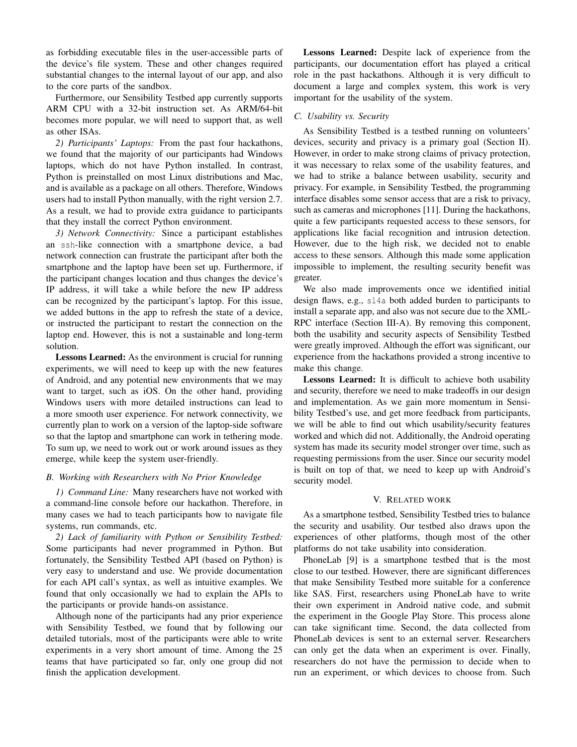as forbidding executable files in the user-accessible parts of the device's file system. These and other changes required substantial changes to the internal layout of our app, and also to the core parts of the sandbox.

Furthermore, our Sensibility Testbed app currently supports ARM CPU with a 32-bit instruction set. As ARM/64-bit becomes more popular, we will need to support that, as well as other ISAs.

*2) Participants' Laptops:* From the past four hackathons, we found that the majority of our participants had Windows laptops, which do not have Python installed. In contrast, Python is preinstalled on most Linux distributions and Mac, and is available as a package on all others. Therefore, Windows users had to install Python manually, with the right version 2.7. As a result, we had to provide extra guidance to participants that they install the correct Python environment.

*3) Network Connectivity:* Since a participant establishes an ssh-like connection with a smartphone device, a bad network connection can frustrate the participant after both the smartphone and the laptop have been set up. Furthermore, if the participant changes location and thus changes the device's IP address, it will take a while before the new IP address can be recognized by the participant's laptop. For this issue, we added buttons in the app to refresh the state of a device, or instructed the participant to restart the connection on the laptop end. However, this is not a sustainable and long-term solution.

Lessons Learned: As the environment is crucial for running experiments, we will need to keep up with the new features of Android, and any potential new environments that we may want to target, such as iOS. On the other hand, providing Windows users with more detailed instructions can lead to a more smooth user experience. For network connectivity, we currently plan to work on a version of the laptop-side software so that the laptop and smartphone can work in tethering mode. To sum up, we need to work out or work around issues as they emerge, while keep the system user-friendly.

#### *B. Working with Researchers with No Prior Knowledge*

*1) Command Line:* Many researchers have not worked with a command-line console before our hackathon. Therefore, in many cases we had to teach participants how to navigate file systems, run commands, etc.

*2) Lack of familiarity with Python or Sensibility Testbed:* Some participants had never programmed in Python. But fortunately, the Sensibility Testbed API (based on Python) is very easy to understand and use. We provide documentation for each API call's syntax, as well as intuitive examples. We found that only occasionally we had to explain the APIs to the participants or provide hands-on assistance.

Although none of the participants had any prior experience with Sensibility Testbed, we found that by following our detailed tutorials, most of the participants were able to write experiments in a very short amount of time. Among the 25 teams that have participated so far, only one group did not finish the application development.

Lessons Learned: Despite lack of experience from the participants, our documentation effort has played a critical role in the past hackathons. Although it is very difficult to document a large and complex system, this work is very important for the usability of the system.

### *C. Usability vs. Security*

As Sensibility Testbed is a testbed running on volunteers' devices, security and privacy is a primary goal (Section II). However, in order to make strong claims of privacy protection, it was necessary to relax some of the usability features, and we had to strike a balance between usability, security and privacy. For example, in Sensibility Testbed, the programming interface disables some sensor access that are a risk to privacy, such as cameras and microphones [11]. During the hackathons, quite a few participants requested access to these sensors, for applications like facial recognition and intrusion detection. However, due to the high risk, we decided not to enable access to these sensors. Although this made some application impossible to implement, the resulting security benefit was greater.

We also made improvements once we identified initial design flaws, e.g., sl4a both added burden to participants to install a separate app, and also was not secure due to the XML-RPC interface (Section III-A). By removing this component, both the usability and security aspects of Sensibility Testbed were greatly improved. Although the effort was significant, our experience from the hackathons provided a strong incentive to make this change.

Lessons Learned: It is difficult to achieve both usability and security, therefore we need to make tradeoffs in our design and implementation. As we gain more momentum in Sensibility Testbed's use, and get more feedback from participants, we will be able to find out which usability/security features worked and which did not. Additionally, the Android operating system has made its security model stronger over time, such as requesting permissions from the user. Since our security model is built on top of that, we need to keep up with Android's security model.

#### V. RELATED WORK

As a smartphone testbed, Sensibility Testbed tries to balance the security and usability. Our testbed also draws upon the experiences of other platforms, though most of the other platforms do not take usability into consideration.

PhoneLab [9] is a smartphone testbed that is the most close to our testbed. However, there are significant differences that make Sensibility Testbed more suitable for a conference like SAS. First, researchers using PhoneLab have to write their own experiment in Android native code, and submit the experiment in the Google Play Store. This process alone can take significant time. Second, the data collected from PhoneLab devices is sent to an external server. Researchers can only get the data when an experiment is over. Finally, researchers do not have the permission to decide when to run an experiment, or which devices to choose from. Such